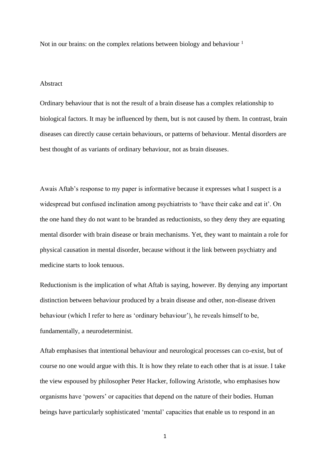Not in our brains: on the complex relations between biology and behaviour  $<sup>1</sup>$ </sup>

## Abstract

Ordinary behaviour that is not the result of a brain disease has a complex relationship to biological factors. It may be influenced by them, but is not caused by them. In contrast, brain diseases can directly cause certain behaviours, or patterns of behaviour. Mental disorders are best thought of as variants of ordinary behaviour, not as brain diseases.

Awais Aftab's response to my paper is informative because it expresses what I suspect is a widespread but confused inclination among psychiatrists to 'have their cake and eat it'. On the one hand they do not want to be branded as reductionists, so they deny they are equating mental disorder with brain disease or brain mechanisms. Yet, they want to maintain a role for physical causation in mental disorder, because without it the link between psychiatry and medicine starts to look tenuous.

Reductionism is the implication of what Aftab is saying, however. By denying any important distinction between behaviour produced by a brain disease and other, non-disease driven behaviour (which I refer to here as 'ordinary behaviour'), he reveals himself to be, fundamentally, a neurodeterminist.

Aftab emphasises that intentional behaviour and neurological processes can co-exist, but of course no one would argue with this. It is how they relate to each other that is at issue. I take the view espoused by philosopher Peter Hacker, following Aristotle, who emphasises how organisms have 'powers' or capacities that depend on the nature of their bodies. Human beings have particularly sophisticated 'mental' capacities that enable us to respond in an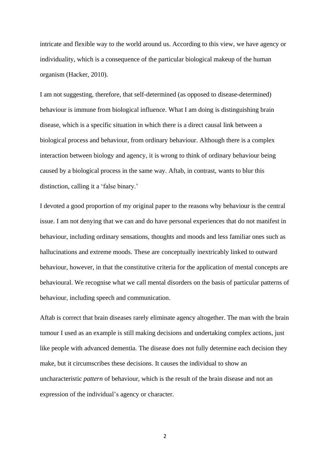intricate and flexible way to the world around us. According to this view, we have agency or individuality, which is a consequence of the particular biological makeup of the human organism (Hacker, 2010).

I am not suggesting, therefore, that self-determined (as opposed to disease-determined) behaviour is immune from biological influence. What I am doing is distinguishing brain disease, which is a specific situation in which there is a direct causal link between a biological process and behaviour, from ordinary behaviour. Although there is a complex interaction between biology and agency, it is wrong to think of ordinary behaviour being caused by a biological process in the same way. Aftab, in contrast, wants to blur this distinction, calling it a 'false binary.'

I devoted a good proportion of my original paper to the reasons why behaviour is the central issue. I am not denying that we can and do have personal experiences that do not manifest in behaviour, including ordinary sensations, thoughts and moods and less familiar ones such as hallucinations and extreme moods. These are conceptually inextricably linked to outward behaviour, however, in that the constitutive criteria for the application of mental concepts are behavioural. We recognise what we call mental disorders on the basis of particular patterns of behaviour, including speech and communication.

Aftab is correct that brain diseases rarely eliminate agency altogether. The man with the brain tumour I used as an example is still making decisions and undertaking complex actions, just like people with advanced dementia. The disease does not fully determine each decision they make, but it circumscribes these decisions. It causes the individual to show an uncharacteristic *pattern* of behaviour, which is the result of the brain disease and not an expression of the individual's agency or character.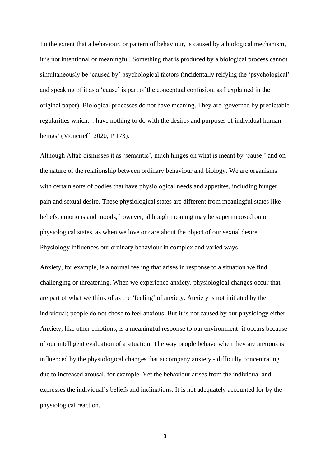To the extent that a behaviour, or pattern of behaviour, is caused by a biological mechanism, it is not intentional or meaningful. Something that is produced by a biological process cannot simultaneously be 'caused by' psychological factors (incidentally reifying the 'psychological' and speaking of it as a 'cause' is part of the conceptual confusion, as I explained in the original paper). Biological processes do not have meaning. They are 'governed by predictable regularities which… have nothing to do with the desires and purposes of individual human beings' (Moncrieff, 2020, P 173).

Although Aftab dismisses it as 'semantic', much hinges on what is meant by 'cause,' and on the nature of the relationship between ordinary behaviour and biology. We are organisms with certain sorts of bodies that have physiological needs and appetites, including hunger, pain and sexual desire. These physiological states are different from meaningful states like beliefs, emotions and moods, however, although meaning may be superimposed onto physiological states, as when we love or care about the object of our sexual desire. Physiology influences our ordinary behaviour in complex and varied ways.

Anxiety, for example, is a normal feeling that arises in response to a situation we find challenging or threatening. When we experience anxiety, physiological changes occur that are part of what we think of as the 'feeling' of anxiety. Anxiety is not initiated by the individual; people do not chose to feel anxious. But it is not caused by our physiology either. Anxiety, like other emotions, is a meaningful response to our environment- it occurs because of our intelligent evaluation of a situation. The way people behave when they are anxious is influenced by the physiological changes that accompany anxiety - difficulty concentrating due to increased arousal, for example. Yet the behaviour arises from the individual and expresses the individual's beliefs and inclinations. It is not adequately accounted for by the physiological reaction.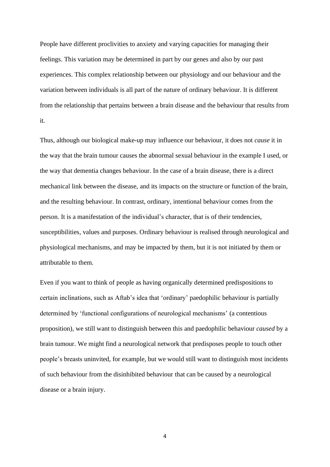People have different proclivities to anxiety and varying capacities for managing their feelings. This variation may be determined in part by our genes and also by our past experiences. This complex relationship between our physiology and our behaviour and the variation between individuals is all part of the nature of ordinary behaviour. It is different from the relationship that pertains between a brain disease and the behaviour that results from it.

Thus, although our biological make-up may influence our behaviour, it does not *cause* it in the way that the brain tumour causes the abnormal sexual behaviour in the example I used, or the way that dementia changes behaviour. In the case of a brain disease, there is a direct mechanical link between the disease, and its impacts on the structure or function of the brain, and the resulting behaviour. In contrast, ordinary, intentional behaviour comes from the person. It is a manifestation of the individual's character, that is of their tendencies, susceptibilities, values and purposes. Ordinary behaviour is realised through neurological and physiological mechanisms, and may be impacted by them, but it is not initiated by them or attributable to them.

Even if you want to think of people as having organically determined predispositions to certain inclinations, such as Aftab's idea that 'ordinary' paedophilic behaviour is partially determined by 'functional configurations of neurological mechanisms' (a contentious proposition), we still want to distinguish between this and paedophilic behaviour *caused* by a brain tumour. We might find a neurological network that predisposes people to touch other people's breasts uninvited, for example, but we would still want to distinguish most incidents of such behaviour from the disinhibited behaviour that can be caused by a neurological disease or a brain injury.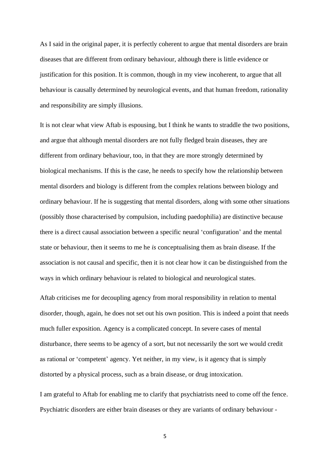As I said in the original paper, it is perfectly coherent to argue that mental disorders are brain diseases that are different from ordinary behaviour, although there is little evidence or justification for this position. It is common, though in my view incoherent, to argue that all behaviour is causally determined by neurological events, and that human freedom, rationality and responsibility are simply illusions.

It is not clear what view Aftab is espousing, but I think he wants to straddle the two positions, and argue that although mental disorders are not fully fledged brain diseases, they are different from ordinary behaviour, too, in that they are more strongly determined by biological mechanisms. If this is the case, he needs to specify how the relationship between mental disorders and biology is different from the complex relations between biology and ordinary behaviour. If he is suggesting that mental disorders, along with some other situations (possibly those characterised by compulsion, including paedophilia) are distinctive because there is a direct causal association between a specific neural 'configuration' and the mental state or behaviour, then it seems to me he *is* conceptualising them as brain disease. If the association is not causal and specific, then it is not clear how it can be distinguished from the ways in which ordinary behaviour is related to biological and neurological states.

Aftab criticises me for decoupling agency from moral responsibility in relation to mental disorder, though, again, he does not set out his own position. This is indeed a point that needs much fuller exposition. Agency is a complicated concept. In severe cases of mental disturbance, there seems to be agency of a sort, but not necessarily the sort we would credit as rational or 'competent' agency. Yet neither, in my view, is it agency that is simply distorted by a physical process, such as a brain disease, or drug intoxication.

I am grateful to Aftab for enabling me to clarify that psychiatrists need to come off the fence. Psychiatric disorders are either brain diseases or they are variants of ordinary behaviour -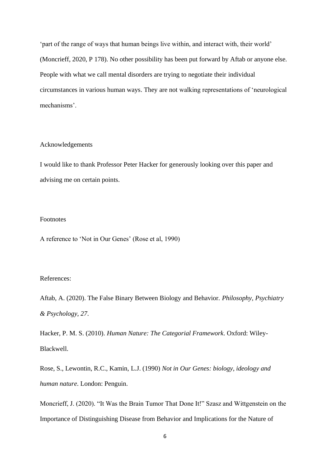'part of the range of ways that human beings live within, and interact with, their world' (Moncrieff, 2020, P 178). No other possibility has been put forward by Aftab or anyone else. People with what we call mental disorders are trying to negotiate their individual circumstances in various human ways. They are not walking representations of 'neurological mechanisms'.

## Acknowledgements

I would like to thank Professor Peter Hacker for generously looking over this paper and advising me on certain points.

## Footnotes

A reference to 'Not in Our Genes' (Rose et al, 1990)

## References:

Aftab, A. (2020). The False Binary Between Biology and Behavior. *Philosophy, Psychiatry & Psychology, 27*.

Hacker, P. M. S. (2010). *Human Nature: The Categorial Framework*. Oxford: Wiley-Blackwell.

Rose, S., Lewontin, R.C., Kamin, L.J. (1990) *Not in Our Genes: biology, ideology and human nature*. London: Penguin.

Moncrieff, J. (2020). "It Was the Brain Tumor That Done It!" Szasz and Wittgenstein on the Importance of Distinguishing Disease from Behavior and Implications for the Nature of